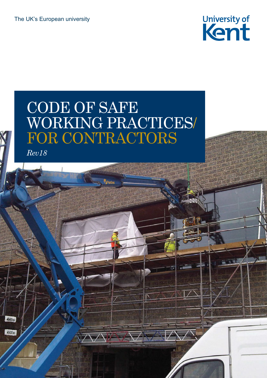

## CODE OF SAFE WORKING PRACTICES/ FOR CONTRACTORS

*Rev18*

4500 m

4500 kg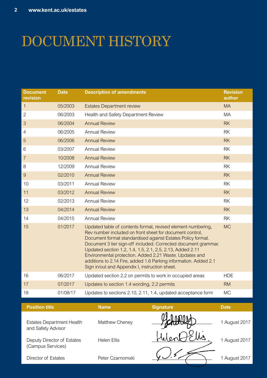# DOCUMENT HISTORY

| <b>Document</b><br>revision | <b>Date</b> | <b>Description of amendments</b>                                                                                                                                                                                                                                                                                                                                                                                                                                                                        | <b>Revision</b><br>author |
|-----------------------------|-------------|---------------------------------------------------------------------------------------------------------------------------------------------------------------------------------------------------------------------------------------------------------------------------------------------------------------------------------------------------------------------------------------------------------------------------------------------------------------------------------------------------------|---------------------------|
| $\mathbf{1}$                | 05/2003     | <b>Estates Department review</b>                                                                                                                                                                                                                                                                                                                                                                                                                                                                        | <b>MA</b>                 |
| $\overline{2}$              | 06/2003     | Health and Safety Department Review                                                                                                                                                                                                                                                                                                                                                                                                                                                                     | <b>MA</b>                 |
| 3                           | 06/2004     | <b>Annual Review</b>                                                                                                                                                                                                                                                                                                                                                                                                                                                                                    | <b>RK</b>                 |
| $\overline{4}$              | 06/2005     | Annual Review                                                                                                                                                                                                                                                                                                                                                                                                                                                                                           | <b>RK</b>                 |
| 5                           | 06/2006     | <b>Annual Review</b>                                                                                                                                                                                                                                                                                                                                                                                                                                                                                    | <b>RK</b>                 |
| 6                           | 03/2007     | Annual Review                                                                                                                                                                                                                                                                                                                                                                                                                                                                                           | <b>RK</b>                 |
| $\overline{7}$              | 10/2008     | <b>Annual Review</b>                                                                                                                                                                                                                                                                                                                                                                                                                                                                                    | <b>RK</b>                 |
| 8                           | 12/2009     | Annual Review                                                                                                                                                                                                                                                                                                                                                                                                                                                                                           | <b>RK</b>                 |
| $\overline{9}$              | 02/2010     | <b>Annual Review</b>                                                                                                                                                                                                                                                                                                                                                                                                                                                                                    | <b>RK</b>                 |
| 10                          | 03/2011     | Annual Review                                                                                                                                                                                                                                                                                                                                                                                                                                                                                           | <b>RK</b>                 |
| 11                          | 03/2012     | <b>Annual Review</b>                                                                                                                                                                                                                                                                                                                                                                                                                                                                                    | <b>RK</b>                 |
| 12                          | 02/2013     | Annual Review                                                                                                                                                                                                                                                                                                                                                                                                                                                                                           | <b>RK</b>                 |
| 13                          | 04/2014     | <b>Annual Review</b>                                                                                                                                                                                                                                                                                                                                                                                                                                                                                    | <b>RK</b>                 |
| 14                          | 04/2015     | Annual Review                                                                                                                                                                                                                                                                                                                                                                                                                                                                                           | <b>RK</b>                 |
| 15                          | 01/2017     | Updated table of contents format, revised element numbering,<br>Rev number included on front sheet for document control.<br>Document format standardised against Estates Policy format.<br>Document 3 tier sign-off included. Corrected document grammar.<br>Updated section 1.2, 1.4, 1.5, 2.1, 2.5, 2.13, Added 2.11<br>Environmental protection. Added 2.21 Waste. Updates and<br>additions to 2.14 Fire, added 1.6 Parking information. Added 2.1<br>Sign in/out and Appendix I, instruction sheet. | <b>MC</b>                 |
| 16                          | 06/2017     | Updated section 2.2 on permits to work in occupied areas                                                                                                                                                                                                                                                                                                                                                                                                                                                | <b>HDE</b>                |
| 17                          | 07/2017     | Updates to section 1.4 wording, 2.2 permits                                                                                                                                                                                                                                                                                                                                                                                                                                                             | <b>RM</b>                 |
| 18                          | 01/08/17    | Updates to sections 2.10, 2.11, 1.4, updated acceptance form                                                                                                                                                                                                                                                                                                                                                                                                                                            | <b>MC</b>                 |

| <b>Position title</b>                                  | <b>Name</b>      | <b>Signature</b> | <b>Date</b>   |
|--------------------------------------------------------|------------------|------------------|---------------|
| <b>Estates Department Health</b><br>and Safety Advisor | Matthew Cheney   |                  | 1 August 2017 |
| Deputy Director of Estates<br>(Campus Services)        | Helen Ellis      |                  | 1 August 2017 |
| Director of Estates                                    | Peter Czarnomski |                  | 1 August 2017 |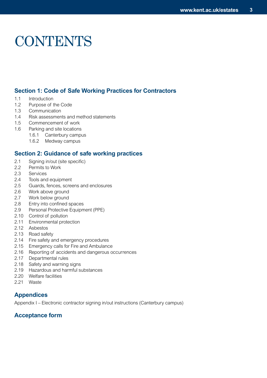## **CONTENTS**

#### **Section 1: Code of Safe Working Practices for Contractors**

- 1.1 Introduction
- 1.2 Purpose of the Code
- 1.3 Communication
- 1.4 Risk assessments and method statements
- 1.5 Commencement of work
- 1.6 Parking and site locations
	- 1.6.1 Canterbury campus
	- 1.6.2 Medway campus

#### **Section 2: Guidance of safe working practices**

- 2.1 Signing in/out (site specific)
- 2.2 Permits to Work<br>2.3 Services
- **Services**
- 2.4 Tools and equipment
- 2.5 Guards, fences, screens and enclosures
- 2.6 Work above ground
- 2.7 Work below ground
- 2.8 Entry into confined spaces
- 2.9 Personal Protective Equipment (PPE)
- 2.10 Control of pollution
- 2.11 Environmental protection
- 2.12 Asbestos
- 2.13 Road safety
- 2.14 Fire safety and emergency procedures
- 2.15 Emergency calls for Fire and Ambulance
- 2.16 Reporting of accidents and dangerous occurrences
- 2.17 Departmental rules
- 2.18 Safety and warning signs
- 2.19 Hazardous and harmful substances
- 2.20 Welfare facilities
- 2.21 Waste

#### **Appendices**

Appendix I – Electronic contractor signing in/out instructions (Canterbury campus)

#### **Acceptance form**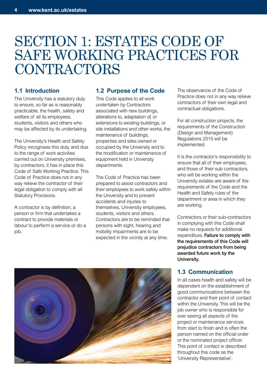### SECTION 1: ESTATES CODE OF SAFE WORKING PRACTICES FOR **CONTRACTORS**

#### **1.1 Introduction**

The University has a statutory duty to ensure, so far as is reasonably practicable, the health, safety and welfare of all its employees, students, visitors and others who may be affected by its undertaking.

The University's Health and Safety Policy recognises this duty, and due to the range of work activities carried out on University premises, by contractors, it has in place this Code of Safe Working Practice. This Code of Practice does not in any way relieve the contractor of their legal obligation to comply with all Statutory Provisions.

A contractor is by definition; a person or firm that undertakes a contract to provide materials or labour to perform a service or do a job.

#### **1.2 Purpose of the Code**

This Code applies to all work undertaken by Contractors associated with new buildings, alterations to, adaptation of, or extensions to existing buildings, or site installations and other works, the maintenance of buildings, properties and sites owned or occupied by the University and to the modification or maintenance of equipment held in University departments.

The Code of Practice has been prepared to assist contractors and their employees to work safely within the University and to prevent accidents and injuries to themselves, University employees, students, visitors and others. Contractors are to be reminded that persons with sight, hearing and mobility impairments are to be expected in the vicinity at any time.

The observance of the Code of Practice does not in any way relieve contractors of their own legal and contractual obligations.

For all construction projects, the requirements of the Construction (Design and Management) Regulations 2015 will be implemented.

It is the contractor's responsibility to ensure that all of their employees, and those of their sub contractors, who will be working within the University estates are aware of the requirements of the Code and the Health and Safety rules of the department or area in which they are working.

Contractors or their sub-contractors in complying with this Code shall make no requests for additional expenditure. **Failure to comply with the requirements of this Code will prejudice contractors from being awarded future work by the University.**

#### **1.3 Communication**

In all cases health and safety will be dependent on the establishment of good communications between the contractor and their point of contact within the University. This will be the job owner who is responsible for over seeing all aspects of the project or maintenance services from start to finish and is often the person named on the official order or the nominated project officer. This point of contact is described throughout this code as the 'University Representative'.

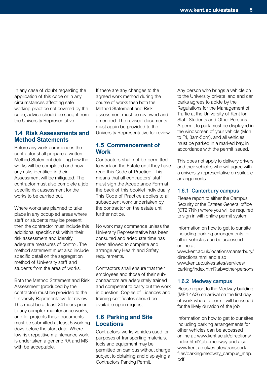In any case of doubt regarding the application of this code or in any circumstances affecting safe working practice not covered by the code, advice should be sought from the University Representative.

#### **1.4 Risk Assessments and Method Statements**

Before any work commences the contractor shall prepare a written Method Statement detailing how the works will be completed and how any risks identified in their Assessment will be mitigated. The contractor must also complete a job specific risk assessment for the works to be carried out.

Where works are planned to take place in any occupied areas where staff or students may be present then the contractor must include this additional specific risk within their risk assessment and identify adequate measures of control. The method statement must also include specific detail on the segregation method of University staff and students from the area of works.

Both the Method Statement and Risk Assessment (produced by the contractor) must be provided to the University Representative for review. This must be at least 24 hours prior to any complex maintenance works, and for projects these documents must be submitted at least 5 working days before the start date. Where low risk repetitive maintenance work is undertaken a generic RA and MS with be acceptable.

If there are any changes to the agreed work method during the course of works then both the Method Statement and Risk assessment must be reviewed and amended. The revised documents must again be provided to the University Representative for review.

#### **1.5 Commencement of Work**

Contractors shall not be permitted to work on the Estate until they have read this Code of Practice. This means that all contractors' staff must sign the Acceptance Form at the back of this booklet individually. This Code of Practice applies to all subsequent work undertaken by the contractor on the estate until further notice.

No work may commence unless the University Representative has been consulted and adequate time has been allowed to complete and arrange any Health and Safety requirements.

Contractors shall ensure that their employees and those of their subcontractors are adequately trained and competent to carry out the work in question. Copies of Licences and training certificates should be available upon request.

#### **1.6 Parking and Site Locations**

Contractors' works vehicles used for purposes of transporting materials, tools and equipment may be permitted on campus without charge subject to obtaining and displaying a Contractors Parking Permit.

Any person who brings a vehicle on to the University private land and car parks agrees to abide by the Regulations for the Management of Traffic at the University of Kent for Staff, Students and Other Persons. A permit to park must be displayed in the windscreen of your vehicle (Mon to Fri, 8am-5pm), and all vehicles must be parked in a marked bay, in accordance with the permit issued.

This does not apply to delivery drivers and their vehicles who will agree with a university representative on suitable arrangements.

#### **1.6.1 Canterbury campus**

Please report to either the Campus Security or the Estates General office (CT2 7NN) where you will be required to sign in with online permit system.

Information on how to get to our site including parking arrangements for other vehicles can be accessed online at:

www.kent.ac.uk/locations/canterbury/ directions.html and also www.kent.ac.uk/estates/services/ parking/index.html?tab=other-persons

#### **1.6.2 Medway campus**

Please report to the Medway building (ME4 4AG) on arrival on the first day of work where a permit will be issued for the likely duration of the job.

Information on how to get to our sites including parking arrangements for other vehicles can be accessed online at: www.kent.ac.uk/directions/ index.html?tab=medway and also www.kent.ac.uk/estates/transport/ files/parking/medway\_campus\_map. pdf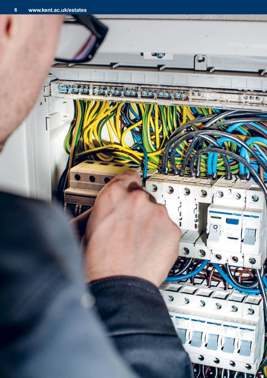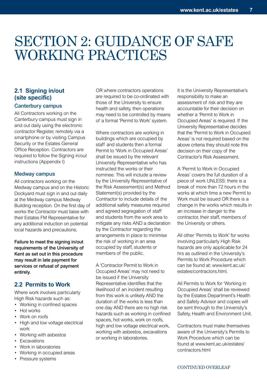### SECTION 2: GUIDANCE OF SAFE WORKING PRACTICES

#### **2.1 Signing in/out (site specific)**

#### **Canterbury campus**

All Contractors working on the Canterbury campus must sign in and out daily using the electronic contractor Register, remotely via a smartphone or by visiting Campus Security or the Estates General Office Reception. Contractors are required to follow the Signing in/out instructions (Appendix I)

#### **Medway campus**

All contractors working on the Medway campus and on the Historic Dockyard must sign in and out daily at the Medway campus Medway Building reception. On the first day of works the Contractor must liaise with their Estates FM Representative for any additional induction on potential local hazards and precautions.

**Failure to meet the signing in/out requirements of the University of Kent as set out in this procedure may result in late payment for services or refusal of payment entirely.**

#### **2.2 Permits to Work**

Where work involves particularly High Risk hazards such as:

- Working in confined spaces
- Hot works
- Work on roofs
- High and low voltage electrical work
- Working with asbestos
- Excavations
- Work in laboratories
- Working in occupied areas
- Pressure systems

OR where contractors operations are required to be co-ordinated with those of the University to ensure health and safety, then operations may need to be controlled by means of a formal 'Permit to Work' system.

Where contractors are working in buildings which are occupied by staff and students then a formal Permit to 'Work in Occupied Areas' shall be issued by the relevant University Representative who has instructed the works or their nominee. This will include a review by the University Representative of the Risk Assessment(s) and Method Statement(s) provided by the Contractor to include details of the additional safety measures required and agreed segregation of staff and students from the work area to mitigate any risks AND a declaration by the Contractor regarding the arrangements in place to minimise the risk of working in an area occupied by staff, students or members of the public.

A 'Contractor Permit to Work in Occupied Areas' may not need to be issued if the University Representative identifies that the likelihood of an incident resulting from this work is unlikely AND the duration of the works is less than one day AND there are no high risk hazards such as working in confined spaces, hot works, work on roofs, high and low voltage electrical work, working with asbestos, excavations or working in laboratories.

It is the University Representative's responsibility to make an assessment of risk and they are accountable for their decision on whether a 'Permit to Work in Occupied Areas' is required. If the University Representative decides that the 'Permit to Work in Occupied Areas' is not required based on the above criteria they should note this decision on their copy of the Contractor's Risk Assessment.

A 'Permit to Work in Occupied Areas' covers the full duration of a piece of work UNLESS: there is a break of more than 72 hours in the works at which time a new Permit to Work must be issued OR there is a change in the works which results in an increase in danger to the contractor, their staff, members of the University or others.

All other 'Permits to Work' for works involving particularly High Risk hazards are only applicable for 24 hrs as outlined in the University's Permits to Work Procedure which can be found at: www.kent.ac.uk/ estates/contractors.html

All Permits to Work for 'Working in Occupied Areas' shall be reviewed by the Estates Department's Health and Safety Advisor and copies will be sent through to the University's Safety, Health and Environment Unit.

Contractors must make themselves aware of the University's Permits to Work Procedure which can be found at www.kent.ac.uk/estates/ contractors.html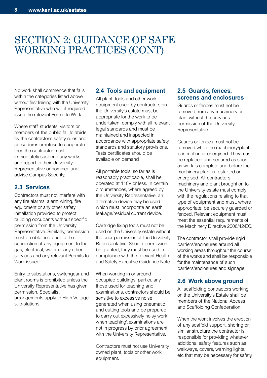### SECTION 2: GUIDANCE OF SAFE WORKING PRACTICES (CONT)

No work shall commence that falls within the categories listed above without first liaising with the University Representative who will if required issue the relevant Permit to Work.

Where staff, students, visitors or members of the public fail to abide by the contractor's safety rules and procedures or refuse to cooperate then the contractor must immediately suspend any works and report to their University Representative or nominee and advise Campus Security.

#### **2.3 Services**

Contractors must not interfere with any fire alarms, alarm wiring, fire equipment or any other safety installation provided to protect building occupants without specific permission from the University Representative. Similarly, permission must be obtained prior to the connection of any equipment to the gas, electrical, water or any other services and any relevant Permits to Work issued.

Entry to substations, switchgear and plant rooms is prohibited unless the University Representative has given permission. Specialist arrangements apply to High Voltage sub-stations.

#### **2.4 Tools and equipment**

All plant, tools and other work equipment used by contractors on the University's estate must be appropriate for the work to be undertaken, comply with all relevant legal standards and must be maintained and inspected in accordance with appropriate safety standards and statutory provisions. Tests certificates should be available on demand

All portable tools, so far as is reasonably practicable, shall be operated at 110V or less. In certain circumstances, where agreed by the University Representative, an alternative device may be used which must incorporate an earth leakage/residual current device.

Cartridge fixing tools must not be used on the University estate without the prior permission of the University Representative. Should permission be granted, they must be used in compliance with the relevant Health and Safety Executive Guidance Note.

When working in or around occupied buildings, particularly those used for teaching and examinations, contractors should be sensitive to excessive noise generated when using pneumatic and cutting tools and be prepared to carry out excessively noisy work when teaching\ examinations are not in progress by prior agreement with the University Representative.

Contractors must not use University owned plant, tools or other work equipment.

#### **2.5 Guards, fences, screens and enclosures**

Guards or fences must not be removed from any machinery or plant without the previous permission of the University Representative.

Guards or fences must not be removed while the machinery/plant is in motion or energised. They must be replaced and secured as soon as work is complete and before the machinery plant is restarted or energised. All contractors machinery and plant brought on to the University estate must comply with the regulations relating to that type of equipment and must, where appropriate, be securely guarded or fenced. Relevant equipment must meet the essential requirements of the Machinery Directive 2006/42/EC.

The contractor shall provide rigid barriers/enclosures around all working areas throughout the course of the works and shall be responsible for the maintenance of such barriers/enclosures and signage.

#### **2.6 Work above ground**

All scaffolding contractors working on the University's Estate shall be members of the National Access and Scaffolding Confederation.

When the work involves the erection of any scaffold support, shoring or similar structure the contractor is responsible for providing whatever additional safety features such as walkways, covers, warning lights, etc that may be necessary for safety.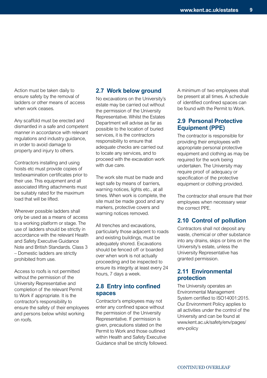Action must be taken daily to ensure safety by the removal of ladders or other means of access when work ceases.

Any scaffold must be erected and dismantled in a safe and competent manner in accordance with relevant regulations and industry guidance, in order to avoid damage to property and injury to others.

Contractors installing and using hoists etc must provide copies of test\examination certificates prior to their use. This equipment and all associated lifting attachments must be suitably rated for the maximum load that will be lifted.

Wherever possible ladders shall only be used as a means of access to a working platform or stage. The use of ladders should be strictly in accordance with the relevant Health and Safety Executive Guidance Note and British Standards. Class 3 – Domestic ladders are strictly prohibited from use.

Access to roofs is not permitted without the permission of the University Representative and completion of the relevant Permit to Work if appropriate. It is the contractor's responsibility to ensure the safety of their employees and persons below whilst working on roofs.

#### **2.7 Work below ground**

No excavations on the University's estate may be carried out without the permission of the University Representative. Whilst the Estates Department will advise as far as possible to the location of buried services, it is the contractors responsibility to ensure that adequate checks are carried out to locate any services, and to proceed with the excavation work with due care.

The work site must be made and kept safe by means of barriers, warning notices, lights etc., at all times. When work is complete, the site must be made good and any markers, protective covers and warning notices removed.

All trenches and excavations, particularly those adjacent to roads and existing buildings, must be adequately shored. Excavations should be fenced off or boarded over when work is not actually proceeding and be inspected to ensure its integrity at least every 24 hours, 7 days a week.

#### **2.8 Entry into confined spaces**

Contractor's employees may not enter any confined space without the permission of the University Representative. If permission is given, precautions stated on the Permit to Work and those outlined within Health and Safety Executive Guidance shall be strictly followed. A minimum of two employees shall be present at all times. A schedule of identified confined spaces can be found with the Permit to Work.

#### **2.9 Personal Protective Equipment (PPE)**

The contractor is responsible for providing their employees with appropriate personal protective equipment and clothing as may be required for the work being undertaken. The University may require proof of adequacy or specification of the protective equipment or clothing provided.

The contractor shall ensure that their employees when necessary wear the correct PPE.

#### **2.10 Control of pollution**

Contractors shall not deposit any waste, chemical or other substance into any drains, skips or bins on the University's estate, unless the University Representative has granted permission.

#### **2.11 Environmental protection**

The University operates an Environmental Management System certified to ISO14001:2015. Our Environment Policy applies to all activities under the control of the University and can be found at www.kent.ac.uk/safety/env/pages/ env-policy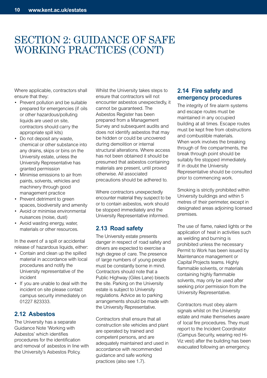### SECTION 2: GUIDANCE OF SAFE WORKING PRACTICES (CONT)

Where applicable, contractors shall ensure that they:

- Prevent pollution and be suitable prepared for emergencies (if oils or other hazardous/polluting liquids are used on site, contractors should carry the appropriate spill kits)
- Do not deposit any waste, chemical or other substance into any drains, skips or bins on the University estate, unless the University Representative has granted permission
- Minimise emissions to air from paints, solvents, vehicles and machinery through good management practice
- Prevent detriment to green spaces, biodiversity and amenity
- Avoid or minimise environmental nuisances (noise, dust)
- Avoid wasting energy, water, materials or other resources.

In the event of a spill or accidental release of hazardous liquids, either:

- Contain and clean up the spilled material in accordance with local procedures and notify the University representative of the incident
- If you are unable to deal with the incident on site please contact campus security immediately on 01227 823333.

#### **2.12 Asbestos**

The University has a separate Guidance Note 'Working with Asbestos' which identifies procedures for the identification and removal of asbestos in line with the University's Asbestos Policy.

Whilst the University takes steps to ensure that contractors will not encounter asbestos unexpectedly, it cannot be guaranteed. The Asbestos Register has been prepared from a Management Survey and subsequent audits and does not identify asbestos that may be hidden or could be uncovered during demolition or internal structural alterations. Where access has not been obtained it should be presumed that asbestos containing materials are present, until proved otherwise. All associated precautions should be adhered to.

Where contractors unexpectedly encounter material they suspect to be or to contain asbestos, work should be stopped immediately and the University Representative informed.

#### **2.13 Road safety**

The University estate presents danger in respect of road safety and drivers are expected to exercise a high degree of care. The presence of large numbers of young people must be constantly borne in mind. Contractors should note that a Public Highway (Giles Lane) bisects the site. Parking on the University estate is subject to University regulations. Advice as to parking arrangements should be made with the University Representative.

Contractors shall ensure that all construction site vehicles and plant are operated by trained and competent persons, and are adequately maintained and used in accordance with recommended guidance and safe working practices (also see 1.7).

#### **2.14 Fire safety and emergency procedures**

The integrity of fire alarm systems and escape routes must be maintained in any occupied building at all times. Escape routes must be kept free from obstructions and combustible materials. When work involves the breaking through of fire compartments, the break through point should be suitably fire stopped immediately. If in doubt the University Representative should be consulted prior to commencing work.

Smoking is strictly prohibited within University buildings and within 5 metres of their perimeter, except in designated areas adjoining licensed premises.

The use of flame, naked lights or the application of heat in activities such as welding and burning is prohibited unless the necessary Permit to Work has been issued by Maintenance management or Capital Projects teams. Highly flammable solvents, or materials containing highly flammable solvents, may only be used after seeking prior permission from the University Representative.

Contractors must obey alarm signals whilst on the University estate and make themselves aware of local fire procedures. They must report to the Incident Coordinator (Campus Security, wearing red Hi-Viz vest) after the building has been evacuated following an emergency.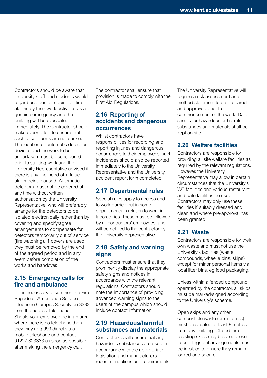Contractors should be aware that University staff and students would regard accidental tripping of fire alarms by their work activities as a genuine emergency and the building will be evacuated immediately. The Contractor should make every effort to ensure that such false alarms are not caused. The location of automatic detection devices and the work to be undertaken must be considered prior to starting work and the University Representative advised if there is any likelihood of a false alarm being caused. Automatic detectors must not be covered at any time without written authorisation by the University Representative, who will preferably arrange for the detectors to be isolated electronically rather than by covering and specify/agree arrangements to compensate for detectors temporarily out of service (fire watching). If covers are used they must be removed by the end of the agreed period and in any event before completion of the works and handover.

#### **2.15 Emergency calls for fire and ambulance**

If it is necessary to summon the Fire Brigade or Ambulance Service telephone Campus Security on 3333 from the nearest telephone. Should your employee be in an area where there is no telephone then they may ring 999 direct via a mobile telephone and contact 01227 823333 as soon as possible after making the emergency call.

The contractor shall ensure that provision is made to comply with the First Aid Regulations.

#### **2.16 Reporting of accidents and dangerous occurrences**

Whilst contractors have responsibilities for recording and reporting injuries and dangerous occurrences to their employees, such incidences should also be reported immediately to the University Representative and the University accident report form completed

#### **2.17 Departmental rules**

Special rules apply to access and to work carried out in some departments in relation to work in laboratories. These must be followed by all contractors' employees, and will be notified to the contractor by the University Representative.

#### **2.18 Safety and warning signs**

Contractors must ensure that they prominently display the appropriate safety signs and notices in accordance with the relevant regulations. Contractors should note the importance of providing advanced warning signs to the users of the campus which should include contact information.

#### **2.19 Hazardous/harmful substances and materials**

Contractors shall ensure that any hazardous substances are used in accordance with the appropriate legislation and manufacturers recommendations and requirements. The University Representative will require a risk assessment and method statement to be prepared and approved prior to commencement of the work. Data sheets for hazardous or harmful substances and materials shall be kept on site.

#### **2.20 Welfare facilities**

Contractors are responsible for providing all site welfare facilities as required by the relevant regulations. However, the University Representative may allow in certain circumstances that the University's WC facilities and various restaurant and café facilities be used. Contractors may only use these facilities if suitably dressed and clean and where pre-approval has been granted.

#### **2.21 Waste**

Contractors are responsible for their own waste and must not use the University's facilities (waste compounds, wheelie bins, skips) except for minor personal items via local litter bins, eg food packaging.

Unless within a fenced compound operated by the contractor, all skips must be marked/signed according to the University's scheme.

Open skips and any other combustible waste (or materials) must be situated at least 8 metres from any building. Closed, fire resisting skips may be sited closer to buildings but arrangements must be in place to ensure they remain locked and secure.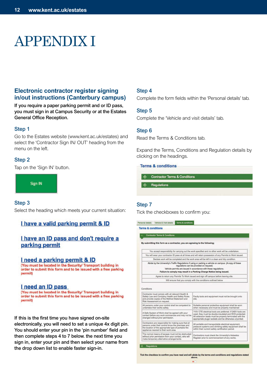### APPENDIX I

#### **Electronic contractor register signing in/out instructions (Canterbury campus)**

**If you require a paper parking permit and or ID pass, you must sign in at Campus Security or at the Estates General Office Reception.**

#### **Step 1**

Go to the Estates website (www.kent.ac.uk/estates) and select the 'Contractor Sign IN/ OUT' heading from the menu on the left.

#### **Step 2**

Tap on the 'Sign IN' button.

Sign IN

#### **Step 3**

Select the heading which meets your current situation:

#### I have a valid parking permit & ID

#### I have an ID pass and don't require a parking permit

#### I need a parking permit & ID

(You must be located in the Security/ Transport building in order to submit this form and to be issued with a free parking permit)

#### I need an ID pass

(You must be located in the Security/ Transport building in order to submit this form and to be issued with a free parking permit)

**If this is the first time you have signed on-site electronically, you will need to set a unique 4x digit pin. You should enter your pin in the 'pin number' field and then complete steps 4 to 7 below. the next time you sign in, enter your pin and then select your name from the drop down list to enable faster sign-in.**

#### **Step 4**

Complete the form fields within the 'Personal details' tab.

#### **Step 5**

Complete the 'Vehicle and visit details' tab.

#### **Step 6**

Read the Terms & Conditions tab.

Expand the Terms, Conditions and Regulation details by clicking on the headings.

**Terms & conditions** 

**Contractor Terms & Conditions** 

Regulations

#### **Step 7**

Tick the checkboxes to confirm you:

| By submitting this form as a contractor, you are agreeing to the following:                                                                                                                                 |                                                                                                                                                                              |  |
|-------------------------------------------------------------------------------------------------------------------------------------------------------------------------------------------------------------|------------------------------------------------------------------------------------------------------------------------------------------------------------------------------|--|
|                                                                                                                                                                                                             |                                                                                                                                                                              |  |
|                                                                                                                                                                                                             | You accept responsibility for carrying out the work specified and no other work will be undertaken.                                                                          |  |
|                                                                                                                                                                                                             | You will wear your contractor ID pass at all times and will retain possession of any Permits to Work issued.                                                                 |  |
|                                                                                                                                                                                                             | Declare work will be completed and the work area will be left in a clean and tidy condition.                                                                                 |  |
|                                                                                                                                                                                                             | Abide by the University's Traffic Regulations if using or parking a vehicle on campus. (A copy of these<br>regulations can be provided on request)                           |  |
|                                                                                                                                                                                                             | Vehicle permits are issued in accordance with these regulations.                                                                                                             |  |
|                                                                                                                                                                                                             | Failure to comply may result in a Parking Charge Notice being issued.                                                                                                        |  |
|                                                                                                                                                                                                             | Agree to return any Permits To Work issued and sign off campus before leaving site.                                                                                          |  |
|                                                                                                                                                                                                             | Will ensure that you comply with the conditions outlined below                                                                                                               |  |
| Contractor must comply with all relevant Health &<br>Safety Law and Company Health and Safety Rules<br>and provide copies of the Method Statement and<br>Risk Assessment on request.                        | Faulty tools and equipment must not be brought onto<br>site.                                                                                                                 |  |
| All persons under your control shall be competent to                                                                                                                                                        | Suitable personal protective equipment shall be worn<br>when necessary and must be properly maintained                                                                       |  |
| undertake their works safely.                                                                                                                                                                               | 110V CTE electrical tools are preferred. If 240V tools are                                                                                                                   |  |
| A Safe System of Work shall be agreed with your<br>contact before any work commences and may not be<br>changed without prior permission.                                                                    | used, they must be double-insulated and RCD-protected.<br>All extension leads must be properly terminated with the<br>appropriate plugs/ sockets and be otherwise uniointed. |  |
| Contractors are responsible for making sure that all<br>persons under their control know the premises and<br>the location of the appropriate type of portable fire<br>appliance nearest to their work area. | All portable and transportable electrical equipment,<br>pressure systems and climbing safety equipment shall be<br>within their current safety certification period.         |  |

Tick the checkbox to confirm you have read and will abi de by the terms and conditions and re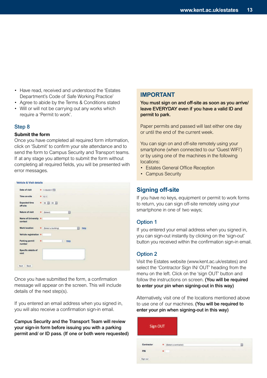- Have read, received and understood the 'Estates Department's Code of Safe Working Practice'
- Agree to abide by the Terms & Conditions stated
- Will or will not be carrying out any works which require a 'Permit to work'.

#### **Step 8**

#### **Submit the form**

Once you have completed all required form information, click on 'Submit' to confirm your site attendance and to send the form to Campus Security and Transport teams. If at any stage you attempt to submit the form without completing all required fields, you will be presented with error messages.

#### Mobileio 8 Meis detaile

| Date of visit                    |   | ₩ 11/05/2017          |    |      |    |      |  |  |
|----------------------------------|---|-----------------------|----|------|----|------|--|--|
| Time on-site                     |   | * 10:15               |    |      |    |      |  |  |
| <b>Expected time</b><br>off-site |   | ★ ∞ 回 ∞ 回             |    |      |    |      |  |  |
| Nature of visit                  |   | * (Select)            |    | B    |    |      |  |  |
| Name of University *<br>contact  |   |                       |    |      |    |      |  |  |
| <b>Work location</b>             |   | * dielect a building) |    |      | B. | Help |  |  |
| Vehicle registration *           |   |                       |    |      |    |      |  |  |
| <b>Parking permit</b><br>number  | ۰ |                       | d. | Help |    |      |  |  |
| Specific details of<br>visit     |   |                       |    |      |    |      |  |  |

Once you have submitted the form, a confirmation message will appear on the screen. This will include details of the next step(s).

If you entered an email address when you signed in, you will also receive a confirmation sign-in email.

**Campus Security and the Transport Team will review your sign-in form before issuing you with a parking permit and/ or ID pass. (If one or both were requested)**

#### **IMPORTANT**

**You must sign on and off-site as soon as you arrive/ leave EVERYDAY even if you have a valid ID and permit to park.**

Paper permits and passed will last either one day or until the end of the current week.

You can sign on and off-site remotely using your smartphone (when connected to our 'Guest WIFI') or by using one of the machines in the following locations:

- Estates General Office Reception
- Campus Security

#### **Signing off-site**

If you have no keys, equipment or permit to work forms to return, you can sign off-site remotely using your smartphone in one of two ways;

#### **Option 1**

If you entered your email address when you signed in, you can sign-out instantly by clicking on the 'sign-out' button you received within the confirmation sign-in email.

#### **Option 2**

Visit the Estates website (www.kent.ac.uk/estates) and select the 'Contractor Sign IN/ OUT' heading from the menu on the left. Click on the 'sign OUT' button and follow the instructions on screen. **(You will be required to enter your pin when signing-out in this way)**

Alternatively, visit one of the locations mentioned above to use one of our machines. **(You will be required to enter your pin when signing-out in this way)**

|            | <b>Sign OUT</b>       |   |
|------------|-----------------------|---|
| Contractor | (Select a contractor) | B |
| PIN        |                       |   |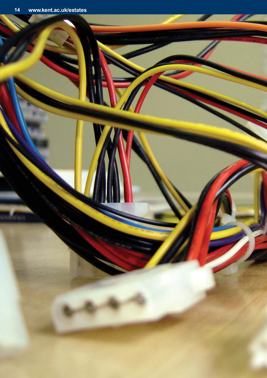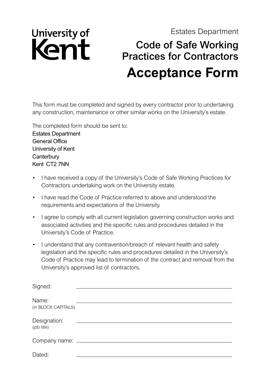# University of Kent

Estates Department

### **Code of Safe Working Practices for Contractors Acceptance Form**

This form must be completed and signed by every contractor prior to undertaking any construction, maintenance or other similar works on the University's estate.

The completed form should be sent to: Estates Department General Office University of Kent **Canterbury** Kent CT2 7NN

- I have received a copy of the University's Code of Safe Working Practices for Contractors undertaking work on the University estate.
- I have read the Code of Practice referred to above and understood the requirements and expectations of the University.
- I agree to comply with all current legislation governing construction works and associated activities and the specific rules and procedures detailed in the University's Code of Practice.
- I understand that any contravention/breach of relevant health and safety legislation and the specific rules and procedures detailed in the University's Code of Practice may lead to termination of the contract and removal from the University's approved list of contractors.

| Signed:                      |  |
|------------------------------|--|
| Name:<br>(in BLOCK CAPITALS) |  |
| Designation:<br>(job title)  |  |
| Company name: _____          |  |
| Dated:                       |  |